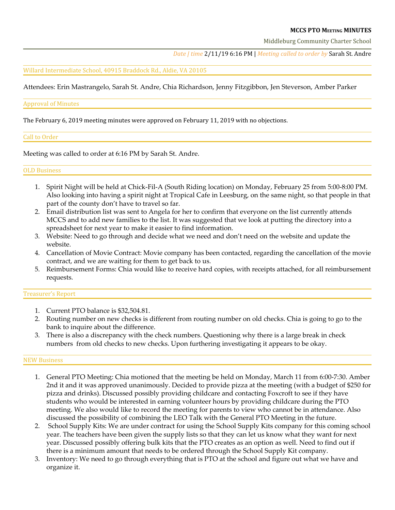## **MCCS PTO MEETING MINUTES**

Middleburg Community Charter School

*Date | time* 2/11/19 6:16 PM | *Meeting called to order by* Sarah St. Andre

Willard Intermediate School, 40915 Braddock Rd., Aldie, VA 20105

Attendees: Erin Mastrangelo, Sarah St. Andre, Chia Richardson, Jenny Fitzgibbon, Jen Steverson, Amber Parker

#### Approval of Minutes

The February 6, 2019 meeting minutes were approved on February 11, 2019 with no objections.

## Call to Order

Meeting was called to order at 6:16 PM by Sarah St. Andre.

## OLD Business

- 1. Spirit Night will be held at Chick-Fil-A (South Riding location) on Monday, February 25 from 5:00-8:00 PM. Also looking into having a spirit night at Tropical Cafe in Leesburg, on the same night, so that people in that part of the county don't have to travel so far.
- 2. Email distribution list was sent to Angela for her to confirm that everyone on the list currently attends MCCS and to add new families to the list. It was suggested that we look at putting the directory into a spreadsheet for next year to make it easier to find information.
- 3. Website: Need to go through and decide what we need and don't need on the website and update the website.
- 4. Cancellation of Movie Contract: Movie company has been contacted, regarding the cancellation of the movie contract, and we are waiting for them to get back to us.
- 5. Reimbursement Forms: Chia would like to receive hard copies, with receipts attached, for all reimbursement requests.

# Treasurer's Report

- 1. Current PTO balance is \$32,504.81.
- 2. Routing number on new checks is different from routing number on old checks. Chia is going to go to the bank to inquire about the difference.
- 3. There is also a discrepancy with the check numbers. Questioning why there is a large break in check numbers from old checks to new checks. Upon furthering investigating it appears to be okay.

#### NEW Business

- 1. General PTO Meeting: Chia motioned that the meeting be held on Monday, March 11 from 6:00-7:30. Amber 2nd it and it was approved unanimously. Decided to provide pizza at the meeting (with a budget of \$250 for pizza and drinks). Discussed possibly providing childcare and contacting Foxcroft to see if they have students who would be interested in earning volunteer hours by providing childcare during the PTO meeting. We also would like to record the meeting for parents to view who cannot be in attendance. Also discussed the possibility of combining the LEO Talk with the General PTO Meeting in the future.
- 2. School Supply Kits: We are under contract for using the School Supply Kits company for this coming school year. The teachers have been given the supply lists so that they can let us know what they want for next year. Discussed possibly offering bulk kits that the PTO creates as an option as well. Need to find out if there is a minimum amount that needs to be ordered through the School Supply Kit company.
- 3. Inventory: We need to go through everything that is PTO at the school and figure out what we have and organize it.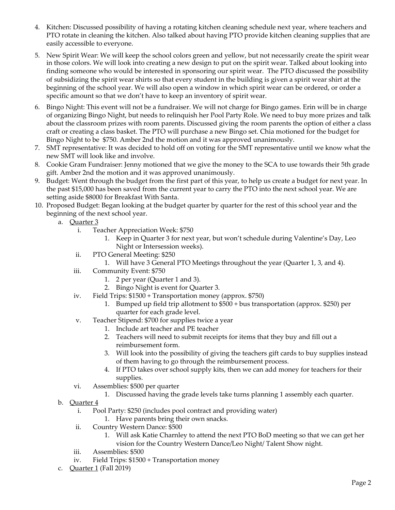- 4. Kitchen: Discussed possibility of having a rotating kitchen cleaning schedule next year, where teachers and PTO rotate in cleaning the kitchen. Also talked about having PTO provide kitchen cleaning supplies that are easily accessible to everyone.
- 5. New Spirit Wear: We will keep the school colors green and yellow, but not necessarily create the spirit wear in those colors. We will look into creating a new design to put on the spirit wear. Talked about looking into finding someone who would be interested in sponsoring our spirit wear. The PTO discussed the possibility of subsidizing the spirit wear shirts so that every student in the building is given a spirit wear shirt at the beginning of the school year. We will also open a window in which spirit wear can be ordered, or order a specific amount so that we don't have to keep an inventory of spirit wear.
- 6. Bingo Night: This event will not be a fundraiser. We will not charge for Bingo games. Erin will be in charge of organizing Bingo Night, but needs to relinquish her Pool Party Role. We need to buy more prizes and talk about the classroom prizes with room parents. Discussed giving the room parents the option of either a class craft or creating a class basket. The PTO will purchase a new Bingo set. Chia motioned for the budget for Bingo Night to be \$750. Amber 2nd the motion and it was approved unanimously.
- 7. SMT representative: It was decided to hold off on voting for the SMT representative until we know what the new SMT will look like and involve.
- 8. Cookie Gram Fundraiser: Jenny motioned that we give the money to the SCA to use towards their 5th grade gift. Amber 2nd the motion and it was approved unanimously.
- 9. Budget: Went through the budget from the first part of this year, to help us create a budget for next year. In the past \$15,000 has been saved from the current year to carry the PTO into the next school year. We are setting aside \$8000 for Breakfast With Santa.
- 10. Proposed Budget: Began looking at the budget quarter by quarter for the rest of this school year and the beginning of the next school year.
	- a. Quarter 3
		- i. Teacher Appreciation Week: \$750
			- 1. Keep in Quarter 3 for next year, but won't schedule during Valentine's Day, Leo Night or Intersession weeks).
		- ii. PTO General Meeting: \$250
			- 1. Will have 3 General PTO Meetings throughout the year (Quarter 1, 3, and 4).
		- iii. Community Event: \$750
			- 1. 2 per year (Quarter 1 and 3).
			- 2. Bingo Night is event for Quarter 3.
		- iv. Field Trips: \$1500 + Transportation money (approx. \$750)
			- 1. Bumped up field trip allotment to \$500 + bus transportation (approx. \$250) per quarter for each grade level.
		- v. Teacher Stipend: \$700 for supplies twice a year
			- 1. Include art teacher and PE teacher
			- 2. Teachers will need to submit receipts for items that they buy and fill out a reimbursement form.
			- 3. Will look into the possibility of giving the teachers gift cards to buy supplies instead of them having to go through the reimbursement process.
			- 4. If PTO takes over school supply kits, then we can add money for teachers for their supplies.
		- vi. Assemblies: \$500 per quarter
			- 1. Discussed having the grade levels take turns planning 1 assembly each quarter.
	- b. Quarter 4
		- i. Pool Party: \$250 (includes pool contract and providing water)
			- 1. Have parents bring their own snacks.
		- ii. Country Western Dance: \$500
			- 1. Will ask Katie Charnley to attend the next PTO BoD meeting so that we can get her vision for the Country Western Dance/Leo Night/ Talent Show night.
		- iii. Assemblies: \$500
		- iv. Field Trips: \$1500 + Transportation money
	- c. **Quarter 1** (Fall 2019)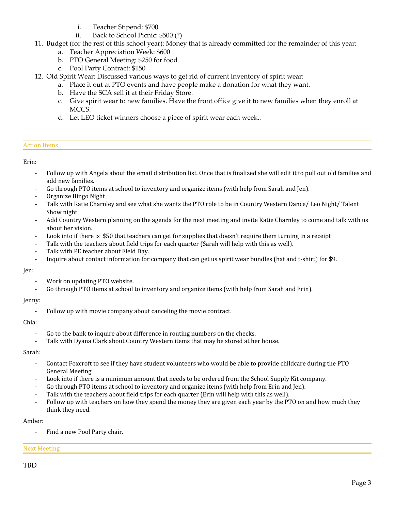- i. Teacher Stipend: \$700
- ii. Back to School Picnic: \$500 (?)
- 11. Budget (for the rest of this school year): Money that is already committed for the remainder of this year:
	- a. Teacher Appreciation Week: \$600
	- b. PTO General Meeting: \$250 for food
	- c. Pool Party Contract: \$150
- 12. Old Spirit Wear: Discussed various ways to get rid of current inventory of spirit wear:
	- a. Place it out at PTO events and have people make a donation for what they want.
	- b. Have the SCA sell it at their Friday Store.
	- c. Give spirit wear to new families. Have the front office give it to new families when they enroll at MCCS.
	- d. Let LEO ticket winners choose a piece of spirit wear each week..

## Action Items

Erin:

- Follow up with Angela about the email distribution list. Once that is finalized she will edit it to pull out old families and add new families.
- Go through PTO items at school to inventory and organize items (with help from Sarah and Jen).
- Organize Bingo Night
- Talk with Katie Charnley and see what she wants the PTO role to be in Country Western Dance/ Leo Night/Talent Show night.
- Add Country Western planning on the agenda for the next meeting and invite Katie Charnley to come and talk with us about her vision.
- Look into if there is \$50 that teachers can get for supplies that doesn't require them turning in a receipt
- Talk with the teachers about field trips for each quarter (Sarah will help with this as well).
- Talk with PE teacher about Field Day.
- Inquire about contact information for company that can get us spirit wear bundles (hat and t-shirt) for \$9.

#### Jen:

- Work on updating PTO website.
- Go through PTO items at school to inventory and organize items (with help from Sarah and Erin).

#### Jenny:

Follow up with movie company about canceling the movie contract.

## Chia:

- Go to the bank to inquire about difference in routing numbers on the checks.
- Talk with Dyana Clark about Country Western items that may be stored at her house.

Sarah:

- Contact Foxcroft to see if they have student volunteers who would be able to provide childcare during the PTO General Meeting
- Look into if there is a minimum amount that needs to be ordered from the School Supply Kit company.
- Go through PTO items at school to inventory and organize items (with help from Erin and Jen).
- Talk with the teachers about field trips for each quarter (Erin will help with this as well).
- Follow up with teachers on how they spend the money they are given each year by the PTO on and how much they think they need.

# Amber:

Find a new Pool Party chair.

# Next Meeting